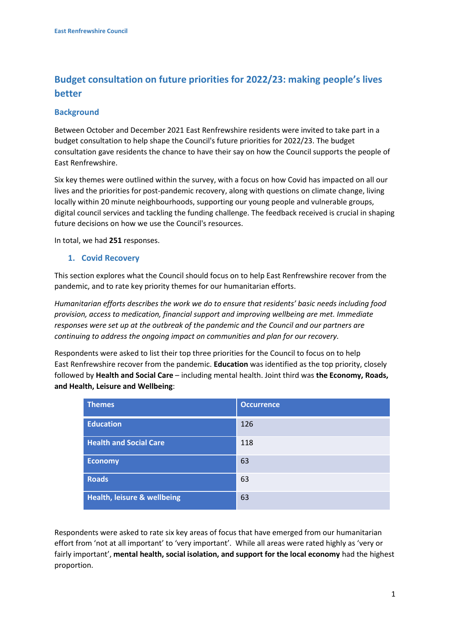# **Budget consultation on future priorities for 2022/23: making people's lives better**

# **Background**

Between October and December 2021 East Renfrewshire residents were invited to take part in a budget consultation to help shape the Council's future priorities for 2022/23. The budget consultation gave residents the chance to have their say on how the Council supports the people of East Renfrewshire.

Six key themes were outlined within the survey, with a focus on how Covid has impacted on all our lives and the priorities for post-pandemic recovery, along with questions on climate change, living locally within 20 minute neighbourhoods, supporting our young people and vulnerable groups, digital council services and tackling the funding challenge. The feedback received is crucial in shaping future decisions on how we use the Council's resources.

In total, we had **251** responses.

### **1. Covid Recovery**

This section explores what the Council should focus on to help East Renfrewshire recover from the pandemic, and to rate key priority themes for our humanitarian efforts.

*Humanitarian efforts describes the work we do to ensure that residents' basic needs including food provision, access to medication, financial support and improving wellbeing are met. Immediate responses were set up at the outbreak of the pandemic and the Council and our partners are continuing to address the ongoing impact on communities and plan for our recovery.* 

Respondents were asked to list their top three priorities for the Council to focus on to help East Renfrewshire recover from the pandemic. **Education** was identified as the top priority, closely followed by **Health and Social Care** – including mental health. Joint third was **the Economy, Roads, and Health, Leisure and Wellbeing**:

| <b>Themes</b>                          | <b>Occurrence</b> |
|----------------------------------------|-------------------|
| <b>Education</b>                       | 126               |
| <b>Health and Social Care</b>          | 118               |
| <b>Economy</b>                         | 63                |
| <b>Roads</b>                           | 63                |
| <b>Health, leisure &amp; wellbeing</b> | 63                |

Respondents were asked to rate six key areas of focus that have emerged from our humanitarian effort from 'not at all important' to 'very important'. While all areas were rated highly as 'very or fairly important', **mental health, social isolation, and support for the local economy** had the highest proportion.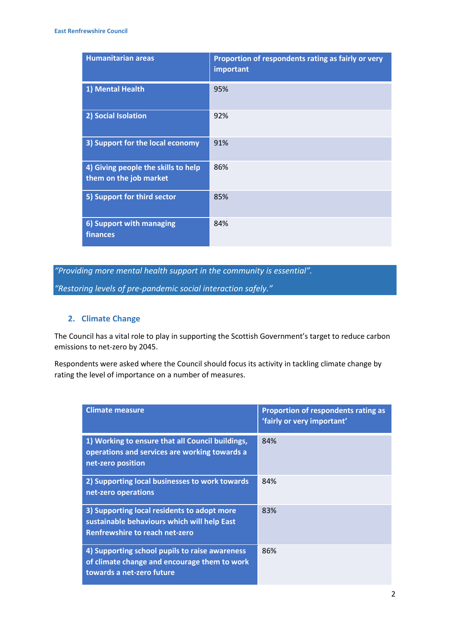| <b>Humanitarian areas</b>                                     | Proportion of respondents rating as fairly or very<br>important |
|---------------------------------------------------------------|-----------------------------------------------------------------|
| 1) Mental Health                                              | 95%                                                             |
| 2) Social Isolation                                           | 92%                                                             |
| 3) Support for the local economy                              | 91%                                                             |
| 4) Giving people the skills to help<br>them on the job market | 86%                                                             |
| 5) Support for third sector                                   | 85%                                                             |
| 6) Support with managing<br>finances                          | 84%                                                             |

*"Providing more mental health support in the community is essential".*

*"Restoring levels of pre-pandemic social interaction safely."*

## **2. Climate Change**

The Council has a vital role to play in supporting the Scottish Government's target to reduce carbon emissions to net-zero by 2045.

Respondents were asked where the Council should focus its activity in tackling climate change by rating the level of importance on a number of measures.

| <b>Climate measure</b>                                                                                                       | Proportion of respondents rating as<br>'fairly or very important' |
|------------------------------------------------------------------------------------------------------------------------------|-------------------------------------------------------------------|
| 1) Working to ensure that all Council buildings,<br>operations and services are working towards a<br>net-zero position       | 84%                                                               |
| 2) Supporting local businesses to work towards<br>net-zero operations                                                        | 84%                                                               |
| 3) Supporting local residents to adopt more<br>sustainable behaviours which will help East<br>Renfrewshire to reach net-zero | 83%                                                               |
| 4) Supporting school pupils to raise awareness<br>of climate change and encourage them to work<br>towards a net-zero future  | 86%                                                               |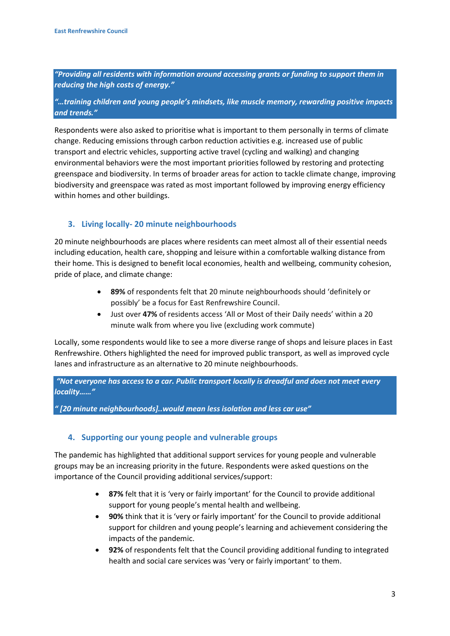*"Providing all residents with information around accessing grants or funding to support them in reducing the high costs of energy."*

*"…training children and young people's mindsets, like muscle memory, rewarding positive impacts and trends."*

Respondents were also asked to prioritise what is important to them personally in terms of climate change. Reducing emissions through carbon reduction activities e.g. increased use of public transport and electric vehicles, supporting active travel (cycling and walking) and changing environmental behaviors were the most important priorities followed by restoring and protecting greenspace and biodiversity. In terms of broader areas for action to tackle climate change, improving biodiversity and greenspace was rated as most important followed by improving energy efficiency within homes and other buildings.

# **3. Living locally- 20 minute neighbourhoods**

20 minute neighbourhoods are places where residents can meet almost all of their essential needs including education, health care, shopping and leisure within a comfortable walking distance from their home. This is designed to benefit local economies, health and wellbeing, community cohesion, pride of place, and climate change:

- **89%** of respondents felt that 20 minute neighbourhoods should 'definitely or possibly' be a focus for East Renfrewshire Council.
- Just over **47%** of residents access 'All or Most of their Daily needs' within a 20 minute walk from where you live (excluding work commute)

Locally, some respondents would like to see a more diverse range of shops and leisure places in East Renfrewshire. Others highlighted the need for improved public transport, as well as improved cycle lanes and infrastructure as an alternative to 20 minute neighbourhoods.

*"Not everyone has access to a car. Public transport locally is dreadful and does not meet every locality……"* 

*" [20 minute neighbourhoods]..would mean less isolation and less car use"* 

### **4. Supporting our young people and vulnerable groups**

The pandemic has highlighted that additional support services for young people and vulnerable groups may be an increasing priority in the future. Respondents were asked questions on the importance of the Council providing additional services/support:

- **87%** felt that it is 'very or fairly important' for the Council to provide additional support for young people's mental health and wellbeing.
- **90%** think that it is 'very or fairly important' for the Council to provide additional support for children and young people's learning and achievement considering the impacts of the pandemic.
- **92%** of respondents felt that the Council providing additional funding to integrated health and social care services was 'very or fairly important' to them.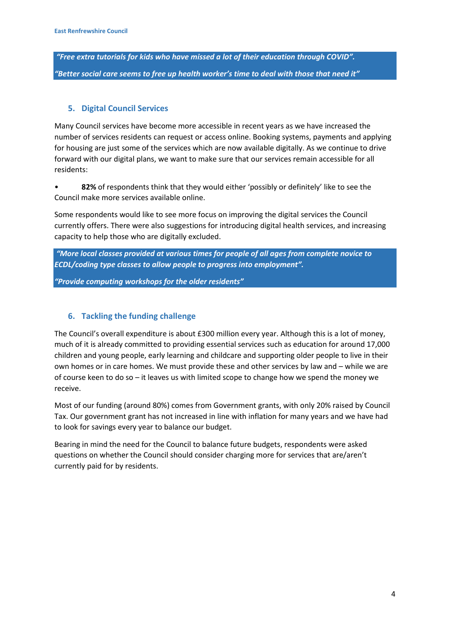*"Free extra tutorials for kids who have missed a lot of their education through COVID". "Better social care seems to free up health worker's time to deal with those that need it"*

# **5. Digital Council Services**

Many Council services have become more accessible in recent years as we have increased the number of services residents can request or access online. Booking systems, payments and applying for housing are just some of the services which are now available digitally. As we continue to drive forward with our digital plans, we want to make sure that our services remain accessible for all residents:

• **82%** of respondents think that they would either 'possibly or definitely' like to see the Council make more services available online.

Some respondents would like to see more focus on improving the digital services the Council currently offers. There were also suggestions for introducing digital health services, and increasing capacity to help those who are digitally excluded.

*"More local classes provided at various times for people of all ages from complete novice to ECDL/coding type classes to allow people to progress into employment".*

*"Provide computing workshops for the older residents"*

## **6. Tackling the funding challenge**

The Council's overall expenditure is about £300 million every year. Although this is a lot of money, much of it is already committed to providing essential services such as education for around 17,000 children and young people, early learning and childcare and supporting older people to live in their own homes or in care homes. We must provide these and other services by law and – while we are of course keen to do so – it leaves us with limited scope to change how we spend the money we receive.

Most of our funding (around 80%) comes from Government grants, with only 20% raised by Council Tax. Our government grant has not increased in line with inflation for many years and we have had to look for savings every year to balance our budget.

Bearing in mind the need for the Council to balance future budgets, respondents were asked questions on whether the Council should consider charging more for services that are/aren't currently paid for by residents.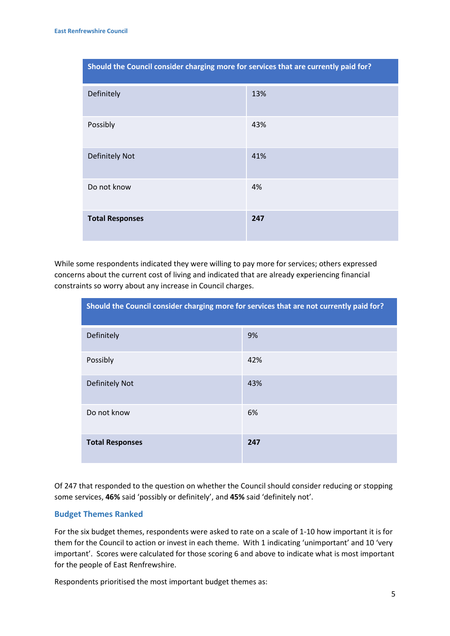| Should the Council consider charging more for services that are currently paid for? |     |  |
|-------------------------------------------------------------------------------------|-----|--|
| Definitely                                                                          | 13% |  |
| Possibly                                                                            | 43% |  |
| <b>Definitely Not</b>                                                               | 41% |  |
| Do not know                                                                         | 4%  |  |
| <b>Total Responses</b>                                                              | 247 |  |

While some respondents indicated they were willing to pay more for services; others expressed concerns about the current cost of living and indicated that are already experiencing financial constraints so worry about any increase in Council charges.

| Should the Council consider charging more for services that are not currently paid for? |     |  |
|-----------------------------------------------------------------------------------------|-----|--|
| Definitely                                                                              | 9%  |  |
| Possibly                                                                                | 42% |  |
| Definitely Not                                                                          | 43% |  |
| Do not know                                                                             | 6%  |  |
| <b>Total Responses</b>                                                                  | 247 |  |

Of 247 that responded to the question on whether the Council should consider reducing or stopping some services, **46%** said 'possibly or definitely', and **45%** said 'definitely not'.

#### **Budget Themes Ranked**

For the six budget themes, respondents were asked to rate on a scale of 1-10 how important it is for them for the Council to action or invest in each theme. With 1 indicating 'unimportant' and 10 'very important'. Scores were calculated for those scoring 6 and above to indicate what is most important for the people of East Renfrewshire.

Respondents prioritised the most important budget themes as: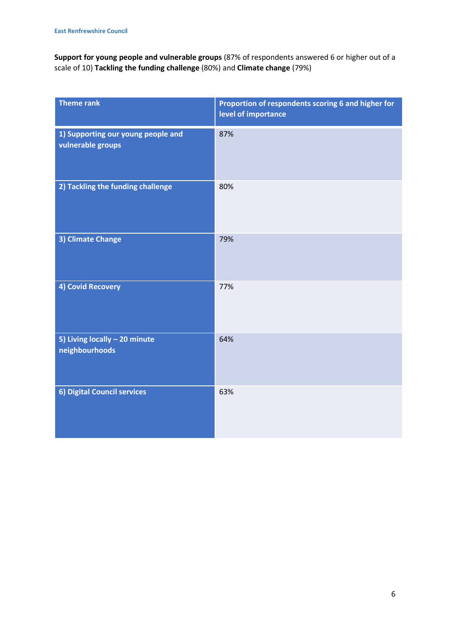**Support for young people and vulnerable groups** (87% of respondents answered 6 or higher out of a scale of 10) **Tackling the funding challenge** (80%) and **Climate change** (79%)

| <b>Theme rank</b>                                       | Proportion of respondents scoring 6 and higher for<br>level of importance |
|---------------------------------------------------------|---------------------------------------------------------------------------|
| 1) Supporting our young people and<br>vulnerable groups | 87%                                                                       |
| 2) Tackling the funding challenge                       | 80%                                                                       |
| 3) Climate Change                                       | 79%                                                                       |
| 4) Covid Recovery                                       | 77%                                                                       |
| 5) Living locally - 20 minute<br>neighbourhoods         | 64%                                                                       |
| 6) Digital Council services                             | 63%                                                                       |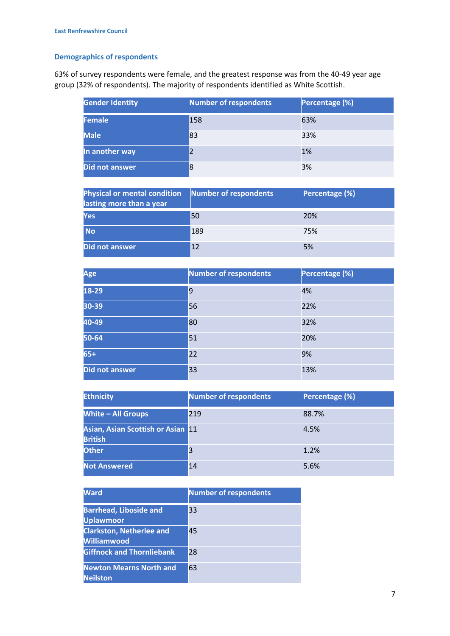# **Demographics of respondents**

63% of survey respondents were female, and the greatest response was from the 40-49 year age group (32% of respondents). The majority of respondents identified as White Scottish.

| <b>Gender Identity</b> | Number of respondents | Percentage (%) |
|------------------------|-----------------------|----------------|
| Female                 | 158                   | 63%            |
| <b>Male</b>            | 83                    | 33%            |
| In another way         |                       | 1%             |
| Did not answer         | 8                     | 3%             |

| <b>Physical or mental condition</b><br>lasting more than a year | Number of respondents | Percentage (%) |
|-----------------------------------------------------------------|-----------------------|----------------|
| Yes                                                             | 50                    | 20%            |
| <b>No</b>                                                       | 189                   | 75%            |
| Did not answer                                                  | 12                    | 5%             |

| Age                   | Number of respondents | Percentage (%) |
|-----------------------|-----------------------|----------------|
| 18-29                 | $\overline{9}$        | 4%             |
| 30-39                 | 56                    | 22%            |
| 40-49                 | 80                    | 32%            |
| 50-64                 | 51                    | 20%            |
| $65+$                 | 22                    | 9%             |
| <b>Did not answer</b> | 33                    | 13%            |

| <b>Ethnicity</b>                                    | Number of respondents | Percentage (%) |
|-----------------------------------------------------|-----------------------|----------------|
| <b>White - All Groups</b>                           | 219                   | 88.7%          |
| Asian, Asian Scottish or Asian 11<br><b>British</b> |                       | 4.5%           |
| <b>Other</b>                                        | 3                     | 1.2%           |
| <b>Not Answered</b>                                 | 14                    | 5.6%           |

| <b>Ward</b>                                           | Number of respondents |
|-------------------------------------------------------|-----------------------|
| <b>Barrhead, Liboside and</b><br><b>Uplawmoor</b>     | 33                    |
| <b>Clarkston, Netherlee and</b><br><b>Williamwood</b> | 45                    |
| <b>Giffnock and Thornliebank</b>                      | 28                    |
| <b>Newton Mearns North and</b><br><b>Neilston</b>     | 63                    |